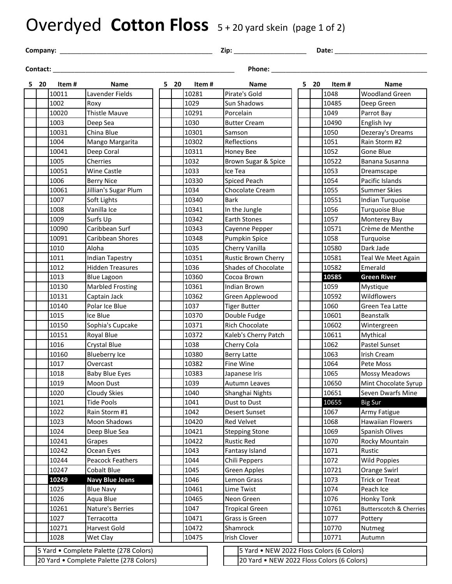## Overdyed Cotton Floss 5+20 yard skein (page 1 of 2)

**Company:** \_\_\_\_\_\_\_\_\_\_\_\_\_\_\_\_\_\_\_\_\_\_\_\_\_\_\_\_\_\_\_\_\_\_\_\_\_\_\_\_\_\_ **Zip:** \_\_\_\_\_\_\_\_\_\_\_\_\_\_\_\_\_\_\_\_ **Date:** \_\_\_\_\_\_\_\_\_\_\_\_\_\_\_\_\_\_\_\_\_\_\_\_\_\_\_

**Contact:** \_\_\_\_\_\_\_\_\_\_\_\_\_\_\_\_\_\_\_\_\_\_\_\_\_\_\_\_\_\_\_\_\_\_\_\_\_\_\_\_\_\_\_\_\_\_\_\_\_\_ **Phone:** \_\_\_\_\_\_\_\_\_\_\_\_\_\_\_\_\_\_\_\_\_\_\_\_\_\_\_\_\_\_\_\_\_\_\_\_\_\_\_\_\_\_\_\_\_

| 520 | Item # | Name                                    |  | 520 | Item# |                                            | Name                                      |  | 5 20 | Item# | <b>Name</b>             |
|-----|--------|-----------------------------------------|--|-----|-------|--------------------------------------------|-------------------------------------------|--|------|-------|-------------------------|
|     | 10011  | Lavender Fields                         |  |     | 10281 |                                            | Pirate's Gold                             |  |      | 1048  | <b>Woodland Green</b>   |
|     | 1002   | Roxy                                    |  |     | 1029  |                                            | Sun Shadows                               |  |      | 10485 | Deep Green              |
|     | 10020  | <b>Thistle Mauve</b>                    |  |     | 10291 |                                            | Porcelain                                 |  |      | 1049  | Parrot Bay              |
|     | 1003   | Deep Sea                                |  |     | 1030  |                                            | <b>Butter Cream</b>                       |  |      | 10490 | English Ivy             |
|     | 10031  | China Blue                              |  |     | 10301 |                                            | Samson                                    |  |      | 1050  | Dezeray's Dreams        |
|     | 1004   | Mango Margarita                         |  |     | 10302 |                                            | Reflections                               |  |      | 1051  | Rain Storm #2           |
|     | 10041  | Deep Coral                              |  |     | 10311 |                                            | Honey Bee                                 |  |      | 1052  | Gone Blue               |
|     | 1005   | Cherries                                |  |     | 1032  |                                            | Brown Sugar & Spice                       |  |      | 10522 | Banana Susanna          |
|     | 10051  | <b>Wine Castle</b>                      |  |     | 1033  | Ice Tea                                    |                                           |  |      | 1053  | Dreamscape              |
|     | 1006   | <b>Berry Nice</b>                       |  |     | 10330 |                                            | <b>Spiced Peach</b>                       |  |      | 1054  | Pacific Islands         |
|     | 10061  | Jillian's Sugar Plum                    |  |     | 1034  |                                            | Chocolate Cream                           |  |      | 1055  | <b>Summer Skies</b>     |
|     | 1007   | Soft Lights                             |  |     | 10340 | <b>Bark</b>                                |                                           |  |      | 10551 | Indian Turquoise        |
|     | 1008   | Vanilla Ice                             |  |     | 10341 |                                            | In the Jungle                             |  |      | 1056  | <b>Turquoise Blue</b>   |
|     | 1009   | Surfs Up                                |  |     | 10342 |                                            | <b>Earth Stones</b>                       |  |      | 1057  | <b>Monterey Bay</b>     |
|     | 10090  | Caribbean Surf                          |  |     | 10343 |                                            | Cayenne Pepper                            |  |      | 10571 | Crème de Menthe         |
|     | 10091  | Caribbean Shores                        |  |     | 10348 |                                            | Pumpkin Spice                             |  |      | 1058  | Turquoise               |
|     | 1010   | Aloha                                   |  |     | 1035  |                                            | Cherry Vanilla                            |  |      | 10580 | Dark Jade               |
|     | 1011   | <b>Indian Tapestry</b>                  |  |     | 10351 |                                            | <b>Rustic Brown Cherry</b>                |  |      | 10581 | Teal We Meet Again      |
|     | 1012   | <b>Hidden Treasures</b>                 |  |     | 1036  |                                            | Shades of Chocolate                       |  |      | 10582 | Emerald                 |
|     | 1013   | <b>Blue Lagoon</b>                      |  |     | 10360 |                                            | Cocoa Brown                               |  |      | 10585 | <b>Green River</b>      |
|     | 10130  | <b>Marbled Frosting</b>                 |  |     | 10361 |                                            | Indian Brown                              |  |      | 1059  | Mystique                |
|     | 10131  | Captain Jack                            |  |     | 10362 |                                            | Green Applewood                           |  |      | 10592 | Wildflowers             |
|     | 10140  | Polar Ice Blue                          |  |     | 1037  |                                            | <b>Tiger Butter</b>                       |  |      | 1060  | Green Tea Latte         |
|     | 1015   | Ice Blue                                |  |     | 10370 |                                            | Double Fudge                              |  |      | 10601 | Beanstalk               |
|     | 10150  | Sophia's Cupcake                        |  |     | 10371 |                                            | <b>Rich Chocolate</b>                     |  |      | 10602 | Wintergreen             |
|     | 10151  | Royal Blue                              |  |     | 10372 |                                            | Kaleb's Cherry Patch                      |  |      | 10611 | Mythical                |
|     | 1016   | <b>Crystal Blue</b>                     |  |     | 1038  |                                            | Cherry Cola                               |  |      | 1062  | Pastel Sunset           |
|     | 10160  | <b>Blueberry Ice</b>                    |  |     | 10380 |                                            | <b>Berry Latte</b>                        |  |      | 1063  | Irish Cream             |
|     | 1017   | Overcast                                |  |     | 10382 |                                            | Fine Wine                                 |  |      | 1064  | Pete Moss               |
|     | 1018   | <b>Baby Blue Eyes</b>                   |  |     | 10383 |                                            | Japanese Iris                             |  |      | 1065  | <b>Mossy Meadows</b>    |
|     | 1019   | Moon Dust                               |  |     | 1039  |                                            | <b>Autumn Leaves</b>                      |  |      | 10650 | Mint Chocolate Syrup    |
|     | 1020   | <b>Cloudy Skies</b>                     |  |     | 1040  |                                            | Shanghai Nights                           |  |      | 10651 | Seven Dwarfs Mine       |
|     | 1021   | <b>Tide Pools</b>                       |  |     | 1041  |                                            | Dust to Dust                              |  |      | 10655 | <b>Big Sur</b>          |
|     | 1022   | Rain Storm #1                           |  |     | 1042  |                                            | <b>Desert Sunset</b>                      |  |      | 1067  | Army Fatigue            |
|     | 1023   | Moon Shadows                            |  |     | 10420 |                                            | Red Velvet                                |  |      | 1068  | <b>Hawaiian Flowers</b> |
|     | 1024   | Deep Blue Sea                           |  |     | 10421 |                                            | <b>Stepping Stone</b>                     |  |      | 1069  | Spanish Olives          |
|     | 10241  | Grapes                                  |  |     | 10422 |                                            | <b>Rustic Red</b>                         |  |      | 1070  | Rocky Mountain          |
|     | 10242  | Ocean Eyes                              |  |     | 1043  |                                            | Fantasy Island                            |  |      | 1071  | Rustic                  |
|     | 10244  | Peacock Feathers                        |  |     | 1044  |                                            | Chili Peppers                             |  |      | 1072  | <b>Wild Poppies</b>     |
|     | 10247  | Cobalt Blue                             |  |     | 1045  |                                            | Green Apples                              |  |      | 10721 | Orange Swirl            |
|     | 10249  | <b>Navy Blue Jeans</b>                  |  |     | 1046  |                                            | Lemon Grass                               |  |      | 1073  | <b>Trick or Treat</b>   |
|     | 1025   | <b>Blue Navy</b>                        |  |     | 10461 |                                            | Lime Twist                                |  |      | 1074  | Peach Ice               |
|     | 1026   | Aqua Blue                               |  |     | 10465 |                                            | Neon Green                                |  |      | 1076  | Honky Tonk              |
|     | 10261  | Nature's Berries                        |  |     | 1047  |                                            | <b>Tropical Green</b>                     |  |      | 10761 | Butterscotch & Cherries |
|     | 1027   | Terracotta                              |  |     | 10471 |                                            | Grass is Green                            |  |      | 1077  | Pottery                 |
|     | 10271  | Harvest Gold                            |  |     | 10472 |                                            | Shamrock                                  |  |      | 10770 | Nutmeg                  |
|     | 1028   | Wet Clay                                |  |     | 10475 | Irish Clover                               |                                           |  |      | 10771 | Autumn                  |
|     |        | 5 Yard • Complete Palette (278 Colors)  |  |     |       |                                            | 5 Yard • NEW 2022 Floss Colors (6 Colors) |  |      |       |                         |
|     |        | 20 Yard • Complete Palette (278 Colors) |  |     |       | 20 Yard . NEW 2022 Floss Colors (6 Colors) |                                           |  |      |       |                         |